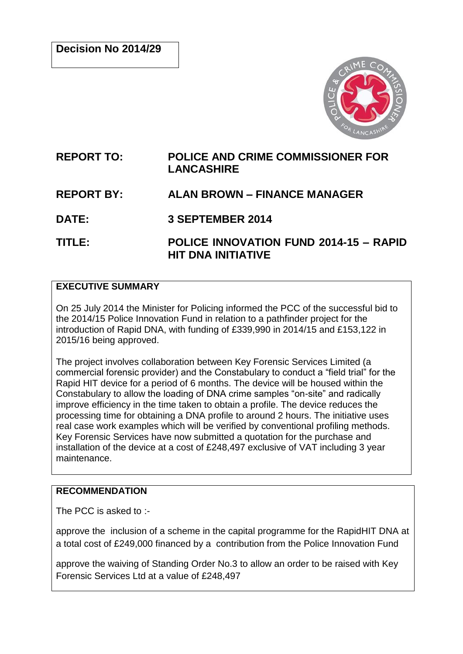

# **REPORT TO: POLICE AND CRIME COMMISSIONER FOR LANCASHIRE**

# **REPORT BY: ALAN BROWN – FINANCE MANAGER**

**DATE: 3 SEPTEMBER 2014**

**TITLE: POLICE INNOVATION FUND 2014-15 – RAPID HIT DNA INITIATIVE**

### **EXECUTIVE SUMMARY**

On 25 July 2014 the Minister for Policing informed the PCC of the successful bid to the 2014/15 Police Innovation Fund in relation to a pathfinder project for the introduction of Rapid DNA, with funding of £339,990 in 2014/15 and £153,122 in 2015/16 being approved.

The project involves collaboration between Key Forensic Services Limited (a commercial forensic provider) and the Constabulary to conduct a "field trial" for the Rapid HIT device for a period of 6 months. The device will be housed within the Constabulary to allow the loading of DNA crime samples "on-site" and radically improve efficiency in the time taken to obtain a profile. The device reduces the processing time for obtaining a DNA profile to around 2 hours. The initiative uses real case work examples which will be verified by conventional profiling methods. Key Forensic Services have now submitted a quotation for the purchase and installation of the device at a cost of £248,497 exclusive of VAT including 3 year maintenance.

## **RECOMMENDATION**

The PCC is asked to :-

approve the inclusion of a scheme in the capital programme for the RapidHIT DNA at a total cost of £249,000 financed by a contribution from the Police Innovation Fund

approve the waiving of Standing Order No.3 to allow an order to be raised with Key Forensic Services Ltd at a value of £248,497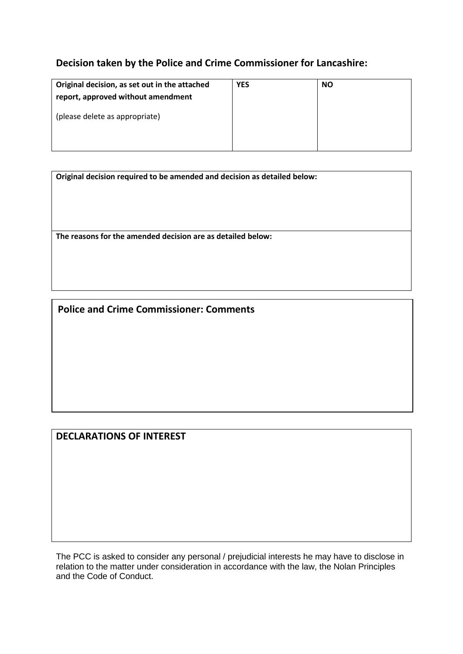## **Decision taken by the Police and Crime Commissioner for Lancashire:**

| Original decision, as set out in the attached<br>report, approved without amendment | <b>YES</b> | <b>NO</b> |
|-------------------------------------------------------------------------------------|------------|-----------|
| (please delete as appropriate)                                                      |            |           |

**Original decision required to be amended and decision as detailed below:**

**The reasons for the amended decision are as detailed below:**

**Police and Crime Commissioner: Comments**

**DECLARATIONS OF INTEREST**

The PCC is asked to consider any personal / prejudicial interests he may have to disclose in relation to the matter under consideration in accordance with the law, the Nolan Principles and the Code of Conduct.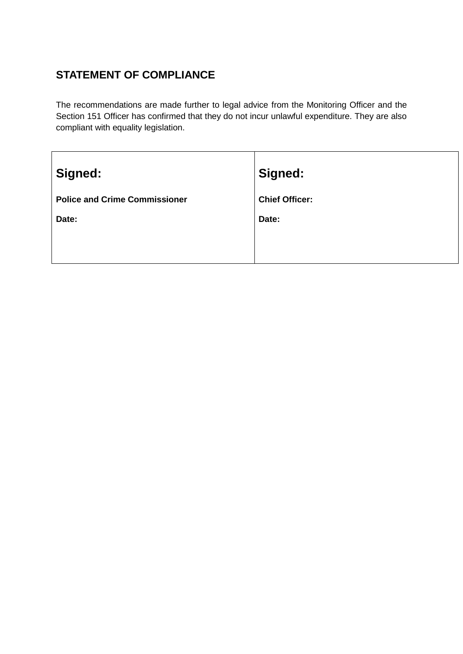# **STATEMENT OF COMPLIANCE**

The recommendations are made further to legal advice from the Monitoring Officer and the Section 151 Officer has confirmed that they do not incur unlawful expenditure. They are also compliant with equality legislation.

| Signed:                              | Signed:               |
|--------------------------------------|-----------------------|
| <b>Police and Crime Commissioner</b> | <b>Chief Officer:</b> |
| Date:                                | Date:                 |
|                                      |                       |
|                                      |                       |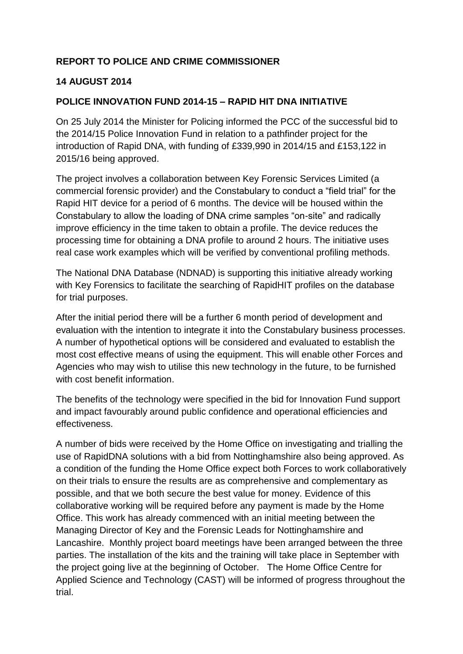## **REPORT TO POLICE AND CRIME COMMISSIONER**

### **14 AUGUST 2014**

#### **POLICE INNOVATION FUND 2014-15 – RAPID HIT DNA INITIATIVE**

On 25 July 2014 the Minister for Policing informed the PCC of the successful bid to the 2014/15 Police Innovation Fund in relation to a pathfinder project for the introduction of Rapid DNA, with funding of £339,990 in 2014/15 and £153,122 in 2015/16 being approved.

The project involves a collaboration between Key Forensic Services Limited (a commercial forensic provider) and the Constabulary to conduct a "field trial" for the Rapid HIT device for a period of 6 months. The device will be housed within the Constabulary to allow the loading of DNA crime samples "on-site" and radically improve efficiency in the time taken to obtain a profile. The device reduces the processing time for obtaining a DNA profile to around 2 hours. The initiative uses real case work examples which will be verified by conventional profiling methods.

The National DNA Database (NDNAD) is supporting this initiative already working with Key Forensics to facilitate the searching of RapidHIT profiles on the database for trial purposes.

After the initial period there will be a further 6 month period of development and evaluation with the intention to integrate it into the Constabulary business processes. A number of hypothetical options will be considered and evaluated to establish the most cost effective means of using the equipment. This will enable other Forces and Agencies who may wish to utilise this new technology in the future, to be furnished with cost benefit information.

The benefits of the technology were specified in the bid for Innovation Fund support and impact favourably around public confidence and operational efficiencies and effectiveness.

A number of bids were received by the Home Office on investigating and trialling the use of RapidDNA solutions with a bid from Nottinghamshire also being approved. As a condition of the funding the Home Office expect both Forces to work collaboratively on their trials to ensure the results are as comprehensive and complementary as possible, and that we both secure the best value for money. Evidence of this collaborative working will be required before any payment is made by the Home Office. This work has already commenced with an initial meeting between the Managing Director of Key and the Forensic Leads for Nottinghamshire and Lancashire. Monthly project board meetings have been arranged between the three parties. The installation of the kits and the training will take place in September with the project going live at the beginning of October. The Home Office Centre for Applied Science and Technology (CAST) will be informed of progress throughout the trial.